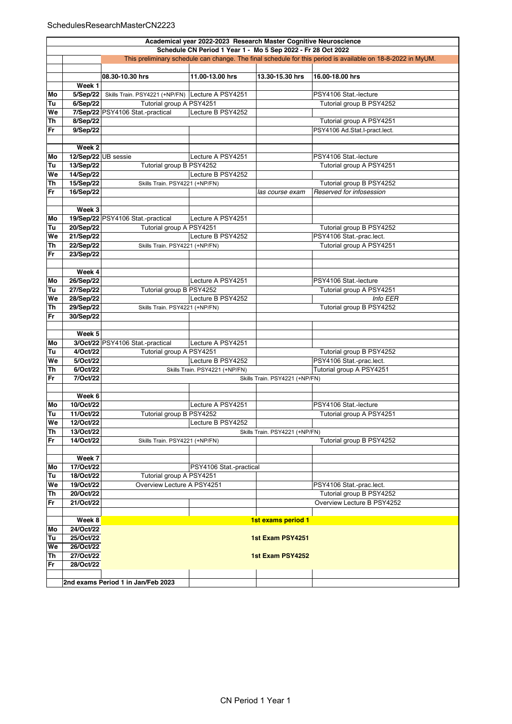## SchedulesResearchMasterCN2223

|    | Academical year 2022-2023 Research Master Cognitive Neuroscience |                                                                                                             |                                |                                |                               |  |  |  |
|----|------------------------------------------------------------------|-------------------------------------------------------------------------------------------------------------|--------------------------------|--------------------------------|-------------------------------|--|--|--|
|    |                                                                  |                                                                                                             |                                |                                |                               |  |  |  |
|    | Schedule CN Period 1 Year 1 - Mo 5 Sep 2022 - Fr 28 Oct 2022     |                                                                                                             |                                |                                |                               |  |  |  |
|    |                                                                  | This preliminary schedule can change. The final schedule for this period is available on 18-8-2022 in MyUM. |                                |                                |                               |  |  |  |
|    |                                                                  |                                                                                                             |                                |                                |                               |  |  |  |
|    |                                                                  | 08.30-10.30 hrs                                                                                             | 11.00-13.00 hrs                | 13.30-15.30 hrs                | 16.00-18.00 hrs               |  |  |  |
|    | Week 1                                                           |                                                                                                             |                                |                                |                               |  |  |  |
| Mo | 5/Sep/22                                                         | Skills Train. PSY4221 (+NP/FN) Lecture A PSY4251                                                            |                                |                                | PSY4106 Stat.-lecture         |  |  |  |
| Tu | 6/Sep/22                                                         | Tutorial group A PSY4251                                                                                    |                                |                                | Tutorial group B PSY4252      |  |  |  |
| We |                                                                  | 7/Sep/22 PSY4106 Stat.-practical                                                                            | Lecture B PSY4252              |                                |                               |  |  |  |
| Th | 8/Sep/22                                                         |                                                                                                             |                                |                                | Tutorial group A PSY4251      |  |  |  |
| Fr |                                                                  |                                                                                                             |                                |                                |                               |  |  |  |
|    | 9/Sep/22                                                         |                                                                                                             |                                |                                | PSY4106 Ad.Stat.I-pract.lect. |  |  |  |
|    |                                                                  |                                                                                                             |                                |                                |                               |  |  |  |
|    | Week <sub>2</sub>                                                |                                                                                                             |                                |                                |                               |  |  |  |
| Mo | 12/Sep/22 UB sessie                                              |                                                                                                             | Lecture A PSY4251              |                                | PSY4106 Stat.-lecture         |  |  |  |
| Tu | 13/Sep/22                                                        | Tutorial group B PSY4252                                                                                    |                                |                                | Tutorial group A PSY4251      |  |  |  |
| We | 14/Sep/22                                                        |                                                                                                             | Lecture B PSY4252              |                                |                               |  |  |  |
| Th | 15/Sep/22                                                        | Skills Train. PSY4221 (+NP/FN)                                                                              |                                |                                | Tutorial group B PSY4252      |  |  |  |
| Fr | 16/Sep/22                                                        |                                                                                                             |                                | las course exam                | Reserved for infosession      |  |  |  |
|    |                                                                  |                                                                                                             |                                |                                |                               |  |  |  |
|    | Week 3                                                           |                                                                                                             |                                |                                |                               |  |  |  |
| Mo |                                                                  | 19/Sep/22 PSY4106 Stat.-practical                                                                           | Lecture A PSY4251              |                                |                               |  |  |  |
| Tu | 20/Sep/22                                                        | Tutorial group A PSY4251                                                                                    |                                |                                | Tutorial group B PSY4252      |  |  |  |
|    |                                                                  |                                                                                                             |                                |                                |                               |  |  |  |
| We | 21/Sep/22                                                        |                                                                                                             | Lecture B PSY4252              |                                | PSY4106 Stat.-prac.lect.      |  |  |  |
| Th | 22/Sep/22                                                        | Skills Train. PSY4221 (+NP/FN)                                                                              |                                |                                | Tutorial group A PSY4251      |  |  |  |
| Fr | 23/Sep/22                                                        |                                                                                                             |                                |                                |                               |  |  |  |
|    |                                                                  |                                                                                                             |                                |                                |                               |  |  |  |
|    | Week 4                                                           |                                                                                                             |                                |                                |                               |  |  |  |
| Mo | 26/Sep/22                                                        |                                                                                                             | Lecture A PSY4251              |                                | PSY4106 Stat.-lecture         |  |  |  |
| Tu | 27/Sep/22                                                        | Tutorial group B PSY4252                                                                                    |                                |                                | Tutorial group A PSY4251      |  |  |  |
| We | 28/Sep/22                                                        |                                                                                                             | Lecture B PSY4252              |                                | <b>Info EER</b>               |  |  |  |
| Th | 29/Sep/22                                                        | Skills Train. PSY4221 (+NP/FN)                                                                              |                                |                                | Tutorial group B PSY4252      |  |  |  |
| Fr | 30/Sep/22                                                        |                                                                                                             |                                |                                |                               |  |  |  |
|    |                                                                  |                                                                                                             |                                |                                |                               |  |  |  |
|    | Week 5                                                           |                                                                                                             |                                |                                |                               |  |  |  |
| Mo |                                                                  | 3/Oct/22 PSY4106 Stat.-practical                                                                            | Lecture A PSY4251              |                                |                               |  |  |  |
| Tu | 4/Oct/22                                                         | Tutorial group A PSY4251                                                                                    |                                |                                | Tutorial group B PSY4252      |  |  |  |
| We | 5/Oct/22                                                         |                                                                                                             | Lecture B PSY4252              |                                | PSY4106 Stat.-prac.lect.      |  |  |  |
|    |                                                                  |                                                                                                             |                                |                                |                               |  |  |  |
| Th | 6/Oct/22                                                         |                                                                                                             | Skills Train. PSY4221 (+NP/FN) |                                | Tutorial group A PSY4251      |  |  |  |
| Fr | 7/Oct/22                                                         |                                                                                                             |                                | Skills Train. PSY4221 (+NP/FN) |                               |  |  |  |
|    |                                                                  |                                                                                                             |                                |                                |                               |  |  |  |
|    | Week 6                                                           |                                                                                                             |                                |                                |                               |  |  |  |
| Mo | 10/Oct/22                                                        |                                                                                                             | Lecture A PSY4251              |                                | PSY4106 Stat.-lecture         |  |  |  |
| Tu | 11/Oct/22                                                        | Tutorial group B PSY4252                                                                                    |                                |                                | Tutorial group A PSY4251      |  |  |  |
| We | 12/Oct/22                                                        |                                                                                                             | Lecture B PSY4252              |                                |                               |  |  |  |
| Th | 13/Oct/22                                                        |                                                                                                             |                                | Skills Train. PSY4221 (+NP/FN) |                               |  |  |  |
| Fr | 14/Oct/22                                                        | Skills Train. PSY4221 (+NP/FN)                                                                              |                                |                                | Tutorial group B PSY4252      |  |  |  |
|    |                                                                  |                                                                                                             |                                |                                |                               |  |  |  |
|    | Week 7                                                           |                                                                                                             |                                |                                |                               |  |  |  |
| Mo | 17/Oct/22                                                        |                                                                                                             | PSY4106 Stat.-practical        |                                |                               |  |  |  |
| Tu | 18/Oct/22                                                        | Tutorial group A PSY4251                                                                                    |                                |                                |                               |  |  |  |
| We | 19/Oct/22                                                        | Overview Lecture A PSY4251                                                                                  |                                |                                | PSY4106 Stat.-prac.lect.      |  |  |  |
| Th | 20/Oct/22                                                        |                                                                                                             |                                |                                | Tutorial group B PSY4252      |  |  |  |
| Fr | 21/Oct/22                                                        |                                                                                                             |                                |                                | Overview Lecture B PSY4252    |  |  |  |
|    |                                                                  |                                                                                                             |                                |                                |                               |  |  |  |
|    |                                                                  |                                                                                                             |                                |                                |                               |  |  |  |
|    | Week 8                                                           |                                                                                                             |                                | 1st exams period 1             |                               |  |  |  |
| Mo | 24/Oct/22                                                        |                                                                                                             |                                |                                |                               |  |  |  |
| Tu | 25/Oct/22                                                        | 1st Exam PSY4251                                                                                            |                                |                                |                               |  |  |  |
| We | 26/Oct/22                                                        |                                                                                                             |                                |                                |                               |  |  |  |
| Th | 27/Oct/22                                                        |                                                                                                             |                                | 1st Exam PSY4252               |                               |  |  |  |
| Fr | 28/Oct/22                                                        |                                                                                                             |                                |                                |                               |  |  |  |
|    |                                                                  |                                                                                                             |                                |                                |                               |  |  |  |
|    |                                                                  | 2nd exams Period 1 in Jan/Feb 2023                                                                          |                                |                                |                               |  |  |  |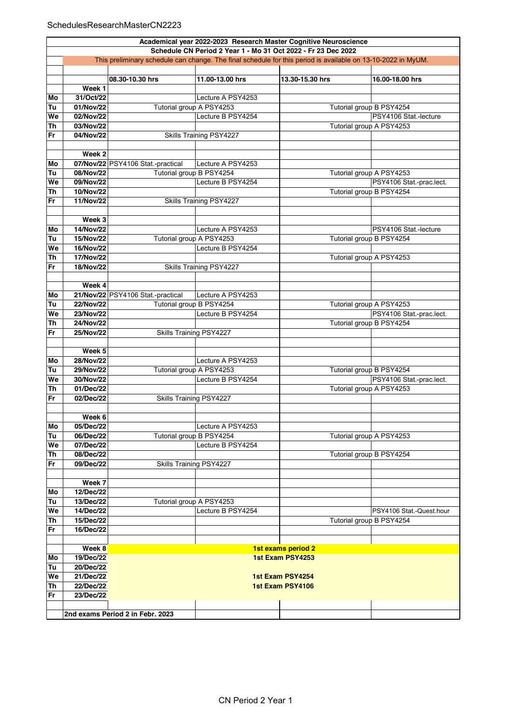|           | Academical year 2022-2023 Research Master Cognitive Neuroscience<br>Schedule CN Period 2 Year 1 - Mo 31 Oct 2022 - Fr 23 Dec 2022 |                                   |                         |                    |                          |  |  |
|-----------|-----------------------------------------------------------------------------------------------------------------------------------|-----------------------------------|-------------------------|--------------------|--------------------------|--|--|
|           | This preliminary schedule can change. The final schedule for this period is available on 13-10-2022 in MyUM.                      |                                   |                         |                    |                          |  |  |
|           |                                                                                                                                   |                                   |                         |                    |                          |  |  |
|           |                                                                                                                                   | 08.30-10.30 hrs                   | 11.00-13.00 hrs         | 13.30-15.30 hrs    | 16.00-18.00 hrs          |  |  |
|           | Week 1                                                                                                                            |                                   |                         |                    |                          |  |  |
| Mo        | 31/Oct/22                                                                                                                         |                                   | Lecture A PSY4253       |                    |                          |  |  |
| Tu        | 01/Nov/22                                                                                                                         | Tutorial group A PSY4253          |                         |                    | Tutorial group B PSY4254 |  |  |
| We        | 02/Nov/22                                                                                                                         |                                   | Lecture B PSY4254       |                    | PSY4106 Stat -lecture    |  |  |
| <b>Th</b> | 03/Nov/22                                                                                                                         |                                   |                         |                    | Tutorial group A PSY4253 |  |  |
| Fr        | 04/Nov/22                                                                                                                         |                                   | Skills Training PSY4227 |                    |                          |  |  |
|           |                                                                                                                                   |                                   |                         |                    |                          |  |  |
|           | Week 2                                                                                                                            |                                   |                         |                    |                          |  |  |
| Mo        |                                                                                                                                   | 07/Nov/22 PSY4106 Stat.-practical | Lecture A PSY4253       |                    |                          |  |  |
| Tu        | 08/Nov/22                                                                                                                         | Tutorial group B PSY4254          |                         |                    | Tutorial group A PSY4253 |  |  |
| We        | 09/Nov/22                                                                                                                         |                                   | Lecture B PSY4254       |                    | PSY4106 Stat -prac.lect. |  |  |
| Th        | 10/Nov/22                                                                                                                         |                                   |                         |                    | Tutorial group B PSY4254 |  |  |
| Fr        | 11/Nov/22                                                                                                                         |                                   | Skills Training PSY4227 |                    |                          |  |  |
|           |                                                                                                                                   |                                   |                         |                    |                          |  |  |
|           | Week 3                                                                                                                            |                                   |                         |                    |                          |  |  |
| Mo        | 14/Nov/22                                                                                                                         |                                   | Lecture A PSY4253       |                    | PSY4106 Stat.-lecture    |  |  |
| Tu        | 15/Nov/22                                                                                                                         | Tutorial group A PSY4253          |                         |                    | Tutorial group B PSY4254 |  |  |
| We        | 16/Nov/22                                                                                                                         |                                   | Lecture B PSY4254       |                    |                          |  |  |
| Th        | 17/Nov/22                                                                                                                         |                                   |                         |                    | Tutorial group A PSY4253 |  |  |
| Fr        | 18/Nov/22                                                                                                                         |                                   | Skills Training PSY4227 |                    |                          |  |  |
|           |                                                                                                                                   |                                   |                         |                    |                          |  |  |
|           | Week 4                                                                                                                            |                                   |                         |                    |                          |  |  |
| Mo        |                                                                                                                                   | 21/Nov/22 PSY4106 Stat.-practical | Lecture A PSY4253       |                    |                          |  |  |
| Tu        | 22/Nov/22                                                                                                                         | Tutorial group B PSY4254          |                         |                    | Tutorial group A PSY4253 |  |  |
| We        | 23/Nov/22                                                                                                                         |                                   | Lecture B PSY4254       |                    | PSY4106 Stat.-prac.lect. |  |  |
| Th        | 24/Nov/22                                                                                                                         |                                   |                         |                    | Tutorial group B PSY4254 |  |  |
| Fr        | 25/Nov/22                                                                                                                         | Skills Training PSY4227           |                         |                    |                          |  |  |
|           |                                                                                                                                   |                                   |                         |                    |                          |  |  |
|           | Week 5                                                                                                                            |                                   |                         |                    |                          |  |  |
| Mo        | 28/Nov/22                                                                                                                         |                                   | Lecture A PSY4253       |                    |                          |  |  |
| Tu        | 29/Nov/22                                                                                                                         | Tutorial group A PSY4253          |                         |                    | Tutorial group B PSY4254 |  |  |
| We        | 30/Nov/22                                                                                                                         |                                   | Lecture B PSY4254       |                    | PSY4106 Stat.-prac.lect. |  |  |
| Th        | 01/Dec/22                                                                                                                         |                                   |                         |                    | Tutorial group A PSY4253 |  |  |
| Fr        | 02/Dec/22                                                                                                                         | Skills Training PSY4227           |                         |                    |                          |  |  |
|           |                                                                                                                                   |                                   |                         |                    |                          |  |  |
|           | Week 6                                                                                                                            |                                   |                         |                    |                          |  |  |
| Mo        | 05/Dec/22                                                                                                                         |                                   | Lecture A PSY4253       |                    |                          |  |  |
| Tu        | 06/Dec/22                                                                                                                         | Tutorial group B PSY4254          |                         |                    | Tutorial group A PSY4253 |  |  |
| We        | 07/Dec/22                                                                                                                         |                                   | Lecture B PSY4254       |                    |                          |  |  |
| Th        | 08/Dec/22                                                                                                                         |                                   |                         |                    | Tutorial group B PSY4254 |  |  |
| Fr        | 09/Dec/22                                                                                                                         | Skills Training PSY4227           |                         |                    |                          |  |  |
|           |                                                                                                                                   |                                   |                         |                    |                          |  |  |
|           | Week 7                                                                                                                            |                                   |                         |                    |                          |  |  |
| Mo        | 12/Dec/22                                                                                                                         |                                   |                         |                    |                          |  |  |
| Tu        | 13/Dec/22                                                                                                                         | Tutorial group A PSY4253          |                         |                    |                          |  |  |
| We        | 14/Dec/22                                                                                                                         |                                   | Lecture B PSY4254       |                    | PSY4106 Stat.-Quest.hour |  |  |
| Th        | 15/Dec/22                                                                                                                         |                                   |                         |                    | Tutorial group B PSY4254 |  |  |
| Fr        | 16/Dec/22                                                                                                                         |                                   |                         |                    |                          |  |  |
|           |                                                                                                                                   |                                   |                         |                    |                          |  |  |
|           | Week 8                                                                                                                            |                                   |                         | 1st exams period 2 |                          |  |  |
| Mo        | 19/Dec/22                                                                                                                         |                                   |                         | 1st Exam PSY4253   |                          |  |  |
| Tu        | 20/Dec/22                                                                                                                         |                                   |                         |                    |                          |  |  |
| We        | 21/Dec/22                                                                                                                         |                                   |                         | 1st Exam PSY4254   |                          |  |  |
| Th        | 22/Dec/22                                                                                                                         | 1st Exam PSY4106                  |                         |                    |                          |  |  |
| Fr        | 23/Dec/22                                                                                                                         |                                   |                         |                    |                          |  |  |
|           |                                                                                                                                   |                                   |                         |                    |                          |  |  |
|           |                                                                                                                                   | 2nd exams Period 2 in Febr. 2023  |                         |                    |                          |  |  |
|           |                                                                                                                                   |                                   |                         |                    |                          |  |  |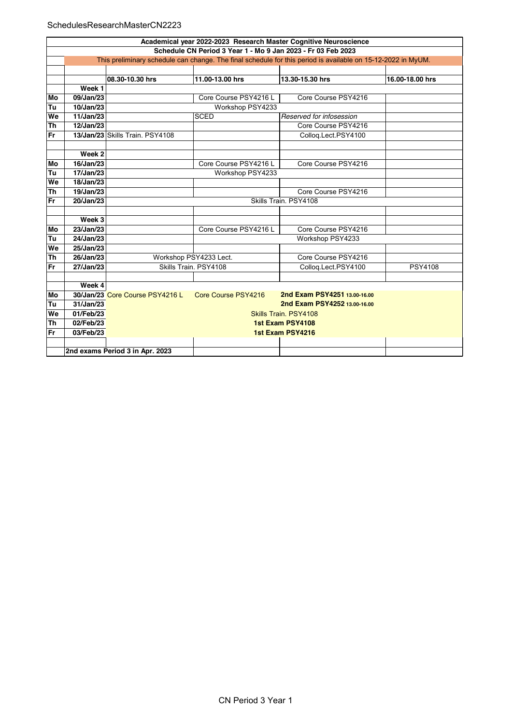## SchedulesResearchMasterCN2223

|                        | Academical year 2022-2023 Research Master Cognitive Neuroscience                                             |                                 |                       |                              |                 |  |  |  |
|------------------------|--------------------------------------------------------------------------------------------------------------|---------------------------------|-----------------------|------------------------------|-----------------|--|--|--|
|                        | Schedule CN Period 3 Year 1 - Mo 9 Jan 2023 - Fr 03 Feb 2023                                                 |                                 |                       |                              |                 |  |  |  |
|                        | This preliminary schedule can change. The final schedule for this period is available on 15-12-2022 in MyUM. |                                 |                       |                              |                 |  |  |  |
|                        |                                                                                                              |                                 |                       |                              |                 |  |  |  |
|                        |                                                                                                              | 08.30-10.30 hrs                 | 11.00-13.00 hrs       | 13.30-15.30 hrs              | 16.00-18.00 hrs |  |  |  |
|                        | Week 1                                                                                                       |                                 |                       |                              |                 |  |  |  |
| Mo                     | 09/Jan/23                                                                                                    |                                 | Core Course PSY4216 L | Core Course PSY4216          |                 |  |  |  |
| Tu                     | 10/Jan/23                                                                                                    |                                 | Workshop PSY4233      |                              |                 |  |  |  |
| We                     | 11/Jan/23                                                                                                    |                                 | <b>SCED</b>           | Reserved for infosession     |                 |  |  |  |
| $\overline{\text{Th}}$ | 12/Jan/23                                                                                                    |                                 |                       | Core Course PSY4216          |                 |  |  |  |
| Fr                     |                                                                                                              | 13/Jan/23 Skills Train, PSY4108 |                       | Collog.Lect.PSY4100          |                 |  |  |  |
|                        |                                                                                                              |                                 |                       |                              |                 |  |  |  |
|                        | Week 2                                                                                                       |                                 |                       |                              |                 |  |  |  |
| Mo                     | 16/Jan/23                                                                                                    |                                 | Core Course PSY4216 L | Core Course PSY4216          |                 |  |  |  |
| Tu                     | 17/Jan/23                                                                                                    |                                 | Workshop PSY4233      |                              |                 |  |  |  |
| We                     | 18/Jan/23                                                                                                    |                                 |                       |                              |                 |  |  |  |
| <b>Th</b>              | 19/Jan/23                                                                                                    |                                 |                       | Core Course PSY4216          |                 |  |  |  |
| <b>Fr</b>              | $20$ /Jan/23                                                                                                 | Skills Train, PSY4108           |                       |                              |                 |  |  |  |
|                        |                                                                                                              |                                 |                       |                              |                 |  |  |  |
|                        | Week 3                                                                                                       |                                 |                       |                              |                 |  |  |  |
| Mo                     | 23/Jan/23                                                                                                    |                                 | Core Course PSY4216 L | Core Course PSY4216          |                 |  |  |  |
| Tu                     | 24/Jan/23                                                                                                    |                                 | Workshop PSY4233      |                              |                 |  |  |  |
| We                     | 25/Jan/23                                                                                                    |                                 |                       |                              |                 |  |  |  |
| <b>Th</b>              | 26/Jan/23                                                                                                    | Workshop PSY4233 Lect.          |                       | Core Course PSY4216          |                 |  |  |  |
| Fr                     | 27/Jan/23                                                                                                    |                                 | Skills Train. PSY4108 | Colloq.Lect.PSY4100          | <b>PSY4108</b>  |  |  |  |
|                        |                                                                                                              |                                 |                       |                              |                 |  |  |  |
|                        | Week $4 $                                                                                                    |                                 |                       |                              |                 |  |  |  |
| Mo                     |                                                                                                              | 30/Jan/23 Core Course PSY4216 L | Core Course PSY4216   | 2nd Exam PSY4251 13.00-16.00 |                 |  |  |  |
| Tu                     | 31/Jan/23                                                                                                    | 2nd Exam PSY4252 13.00-16.00    |                       |                              |                 |  |  |  |
| We                     | 01/Feb/23                                                                                                    | Skills Train, PSY4108           |                       |                              |                 |  |  |  |
| <b>Th</b>              | 02/Feb/23                                                                                                    | 1st Exam PSY4108                |                       |                              |                 |  |  |  |
| Fr                     | 03/Feb/23                                                                                                    |                                 |                       | 1st Exam PSY4216             |                 |  |  |  |
|                        |                                                                                                              |                                 |                       |                              |                 |  |  |  |
|                        | 2nd exams Period 3 in Apr. 2023                                                                              |                                 |                       |                              |                 |  |  |  |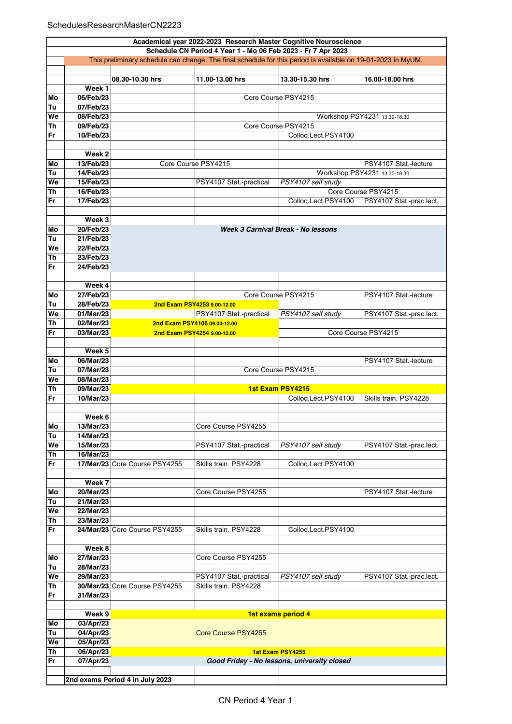|    | Academical year 2022-2023 Research Master Cognitive Neuroscience                                             |                                                    |                             |                                             |                              |  |  |  |
|----|--------------------------------------------------------------------------------------------------------------|----------------------------------------------------|-----------------------------|---------------------------------------------|------------------------------|--|--|--|
|    | Schedule CN Period 4 Year 1 - Mo 06 Feb 2023 - Fr 7 Apr 2023                                                 |                                                    |                             |                                             |                              |  |  |  |
|    | This preliminary schedule can change. The final schedule for this period is available on 19-01-2023 in MyUM. |                                                    |                             |                                             |                              |  |  |  |
|    |                                                                                                              |                                                    |                             |                                             |                              |  |  |  |
|    |                                                                                                              | 08.30-10.30 hrs                                    | 11.00-13.00 hrs             | 13.30-15.30 hrs                             | 16.00-18.00 hrs              |  |  |  |
|    | Week 1                                                                                                       |                                                    |                             |                                             |                              |  |  |  |
| Mo | 06/Feb/23                                                                                                    |                                                    |                             | Core Course PSY4215                         |                              |  |  |  |
| Tu | 07/Feb/23                                                                                                    |                                                    |                             |                                             |                              |  |  |  |
| We | 08/Feb/23                                                                                                    |                                                    |                             |                                             | Workshop PSY4231 13.30-18.30 |  |  |  |
| Th | 09/Feb/23                                                                                                    |                                                    |                             | Core Course PSY4215                         |                              |  |  |  |
| Fr | 10/Feb/23                                                                                                    |                                                    |                             | Collog.Lect.PSY4100                         |                              |  |  |  |
|    |                                                                                                              |                                                    |                             |                                             |                              |  |  |  |
|    | Week 2                                                                                                       |                                                    |                             |                                             |                              |  |  |  |
| Mo | 13/Feb/23                                                                                                    | Core Course PSY4215                                |                             |                                             | PSY4107 Stat -lecture        |  |  |  |
| Tu | 14/Feb/23                                                                                                    |                                                    |                             |                                             | Workshop PSY4231 13.30-18.30 |  |  |  |
| We | 15/Feb/23                                                                                                    |                                                    | PSY4107 Stat.-practical     | PSY4107 self study                          |                              |  |  |  |
| Th | 16/Feb/23                                                                                                    |                                                    |                             |                                             | Core Course PSY4215          |  |  |  |
| Fr | 17/Feb/23                                                                                                    |                                                    |                             | Colloq.Lect.PSY4100                         | PSY4107 Stat.-prac.lect.     |  |  |  |
|    |                                                                                                              |                                                    |                             |                                             |                              |  |  |  |
|    | Week 3                                                                                                       |                                                    |                             |                                             |                              |  |  |  |
| Mo | 20/Feb/23                                                                                                    |                                                    |                             | Week 3 Carnival Break - No lessons          |                              |  |  |  |
| Tu | 21/Feb/23                                                                                                    |                                                    |                             |                                             |                              |  |  |  |
| We | 22/Feb/23                                                                                                    |                                                    |                             |                                             |                              |  |  |  |
| Th | 23/Feb/23                                                                                                    |                                                    |                             |                                             |                              |  |  |  |
| Fr | 24/Feb/23                                                                                                    |                                                    |                             |                                             |                              |  |  |  |
|    |                                                                                                              |                                                    |                             |                                             |                              |  |  |  |
|    | Week 4                                                                                                       |                                                    |                             |                                             |                              |  |  |  |
| Mo |                                                                                                              |                                                    |                             | Core Course PSY4215                         | PSY4107 Stat -lecture        |  |  |  |
|    | 27/Feb/23                                                                                                    |                                                    |                             |                                             |                              |  |  |  |
| Tu | 28/Feb/23                                                                                                    |                                                    | 2nd Exam PSY4253 9.00-12.00 |                                             |                              |  |  |  |
| We | 01/Mar/23                                                                                                    |                                                    | PSY4107 Stat.-practical     | PSY4107 self study                          | PSY4107 Stat -prac.lect.     |  |  |  |
| Th | 02/Mar/23                                                                                                    | 2nd Exam PSY4106 09.00-12.00                       |                             |                                             |                              |  |  |  |
| Fr | 03/Mar/23                                                                                                    | Core Course PSY4215<br>2nd Exam PSY4254 9.00-12.00 |                             |                                             |                              |  |  |  |
|    |                                                                                                              |                                                    |                             |                                             |                              |  |  |  |
|    | Week 5                                                                                                       |                                                    |                             |                                             |                              |  |  |  |
| Mo | 06/Mar/23                                                                                                    |                                                    |                             |                                             | PSY4107 Stat -lecture        |  |  |  |
| Tu | 07/Mar/23                                                                                                    |                                                    |                             | Core Course PSY4215                         |                              |  |  |  |
| We | 08/Mar/23                                                                                                    |                                                    |                             |                                             |                              |  |  |  |
| Th | 09/Mar/23                                                                                                    |                                                    |                             | 1st Exam PSY4215                            |                              |  |  |  |
| Fr | 10/Mar/23                                                                                                    |                                                    |                             | Colloq.Lect.PSY4100                         | Skills train. PSY4228        |  |  |  |
|    |                                                                                                              |                                                    |                             |                                             |                              |  |  |  |
|    | Week 6                                                                                                       |                                                    |                             |                                             |                              |  |  |  |
| Mo | 13/Mar/23                                                                                                    |                                                    | Core Course PSY4255         |                                             |                              |  |  |  |
| Tu | 14/Mar/23                                                                                                    |                                                    |                             |                                             |                              |  |  |  |
| We | 15/Mar/23                                                                                                    |                                                    | PSY4107 Stat.-practical     | PSY4107 self study                          | PSY4107 Stat -prac.lect.     |  |  |  |
| Th | 16/Mar/23                                                                                                    |                                                    |                             |                                             |                              |  |  |  |
| Fr |                                                                                                              | 17/Mar/23 Core Course PSY4255                      | Skills train. PSY4228       | Colloq.Lect.PSY4100                         |                              |  |  |  |
|    |                                                                                                              |                                                    |                             |                                             |                              |  |  |  |
|    | Week 7                                                                                                       |                                                    |                             |                                             |                              |  |  |  |
| Mo | 20/Mar/23                                                                                                    |                                                    | Core Course PSY4255         |                                             | PSY4107 Stat.-lecture        |  |  |  |
| Tu | 21/Mar/23                                                                                                    |                                                    |                             |                                             |                              |  |  |  |
| We | 22/Mar/23                                                                                                    |                                                    |                             |                                             |                              |  |  |  |
| Th | 23/Mar/23                                                                                                    |                                                    |                             |                                             |                              |  |  |  |
| Fr |                                                                                                              | 24/Mar/23 Core Course PSY4255                      | Skills train. PSY4228       | Colloq.Lect.PSY4100                         |                              |  |  |  |
|    |                                                                                                              |                                                    |                             |                                             |                              |  |  |  |
|    | Week 8                                                                                                       |                                                    |                             |                                             |                              |  |  |  |
| Mo | 27/Mar/23                                                                                                    |                                                    | Core Course PSY4255         |                                             |                              |  |  |  |
| Tu | 28/Mar/23                                                                                                    |                                                    |                             |                                             |                              |  |  |  |
| We | 29/Mar/23                                                                                                    |                                                    | PSY4107 Stat.-practical     | PSY4107 self study                          | PSY4107 Stat.-prac.lect.     |  |  |  |
| Th |                                                                                                              | 30/Mar/23 Core Course PSY4255                      | Skills train. PSY4228       |                                             |                              |  |  |  |
| Fr | 31/Mar/23                                                                                                    |                                                    |                             |                                             |                              |  |  |  |
|    |                                                                                                              |                                                    |                             |                                             |                              |  |  |  |
|    | Week 9                                                                                                       |                                                    |                             | 1st exams period 4                          |                              |  |  |  |
| Mo | 03/Apr/23                                                                                                    |                                                    |                             |                                             |                              |  |  |  |
| Tu | 04/Apr/23                                                                                                    |                                                    | Core Course PSY4255         |                                             |                              |  |  |  |
| We | 05/Apr/23                                                                                                    |                                                    |                             |                                             |                              |  |  |  |
| Th | 06/Apr/23                                                                                                    |                                                    |                             | 1st Exam PSY4255                            |                              |  |  |  |
| Fr | 07/Apr/23                                                                                                    |                                                    |                             | Good Friday - No lessons, university closed |                              |  |  |  |
|    |                                                                                                              |                                                    |                             |                                             |                              |  |  |  |
|    |                                                                                                              | 2nd exams Period 4 in July 2023                    |                             |                                             |                              |  |  |  |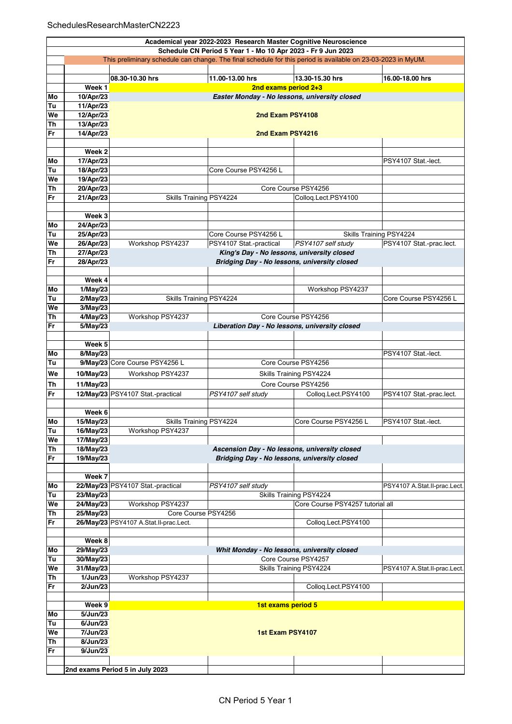|          | Academical year 2022-2023 Research Master Cognitive Neuroscience |                                                                                                              |                                                                                            |                                  |                              |  |  |  |
|----------|------------------------------------------------------------------|--------------------------------------------------------------------------------------------------------------|--------------------------------------------------------------------------------------------|----------------------------------|------------------------------|--|--|--|
|          | Schedule CN Period 5 Year 1 - Mo 10 Apr 2023 - Fr 9 Jun 2023     |                                                                                                              |                                                                                            |                                  |                              |  |  |  |
|          |                                                                  | This preliminary schedule can change. The final schedule for this period is available on 23-03-2023 in MyUM. |                                                                                            |                                  |                              |  |  |  |
|          |                                                                  | 08.30-10.30 hrs                                                                                              | 11.00-13.00 hrs                                                                            | 13.30-15.30 hrs                  | 16.00-18.00 hrs              |  |  |  |
|          | Week 1                                                           |                                                                                                              | 2nd exams period 2+3                                                                       |                                  |                              |  |  |  |
| Mo       | 10/Apr/23                                                        |                                                                                                              | Easter Monday - No lessons, university closed                                              |                                  |                              |  |  |  |
| Tu       | 11/Apr/23                                                        |                                                                                                              |                                                                                            |                                  |                              |  |  |  |
| We       | 12/Apr/23                                                        | 2nd Exam PSY4108                                                                                             |                                                                                            |                                  |                              |  |  |  |
| Th       | 13/Apr/23                                                        |                                                                                                              |                                                                                            |                                  |                              |  |  |  |
| Fr       | 14/Apr/23                                                        | 2nd Exam PSY4216                                                                                             |                                                                                            |                                  |                              |  |  |  |
|          |                                                                  |                                                                                                              |                                                                                            |                                  |                              |  |  |  |
|          | Week 2                                                           |                                                                                                              |                                                                                            |                                  |                              |  |  |  |
| Mo<br>Tu | 17/Apr/23<br>18/Apr/23                                           |                                                                                                              | Core Course PSY4256 L                                                                      |                                  | PSY4107 Stat.-lect.          |  |  |  |
| We       | 19/Apr/23                                                        |                                                                                                              |                                                                                            |                                  |                              |  |  |  |
| Th       | 20/Apr/23                                                        |                                                                                                              |                                                                                            | Core Course PSY4256              |                              |  |  |  |
| Fr       | 21/Apr/23                                                        | Skills Training PSY4224                                                                                      |                                                                                            | Collog.Lect.PSY4100              |                              |  |  |  |
|          |                                                                  |                                                                                                              |                                                                                            |                                  |                              |  |  |  |
|          | Week 3                                                           |                                                                                                              |                                                                                            |                                  |                              |  |  |  |
| Mo       | 24/Apr/23                                                        |                                                                                                              |                                                                                            |                                  |                              |  |  |  |
| Tu       | 25/Apr/23                                                        |                                                                                                              | Core Course PSY4256 L                                                                      | Skills Training PSY4224          |                              |  |  |  |
| We       | 26/Apr/23                                                        | Workshop PSY4237                                                                                             | PSY4107 Stat.-practical                                                                    | PSY4107 self study               | PSY4107 Stat.-prac.lect.     |  |  |  |
| Th<br>Fr | 27/Apr/23                                                        |                                                                                                              | King's Day - No lessons, university closed<br>Bridging Day - No lessons, university closed |                                  |                              |  |  |  |
|          | 28/Apr/23                                                        |                                                                                                              |                                                                                            |                                  |                              |  |  |  |
|          | Week 4                                                           |                                                                                                              |                                                                                            |                                  |                              |  |  |  |
| Mo       | 1/May/23                                                         |                                                                                                              |                                                                                            | Workshop PSY4237                 |                              |  |  |  |
| Tu       | 2/May/23                                                         | Skills Training PSY4224                                                                                      |                                                                                            |                                  | Core Course PSY4256 L        |  |  |  |
| We       | 3/May/23                                                         |                                                                                                              |                                                                                            |                                  |                              |  |  |  |
| Th       | 4/May/23                                                         | Workshop PSY4237                                                                                             |                                                                                            | Core Course PSY4256              |                              |  |  |  |
| Fr       | 5/May/23                                                         |                                                                                                              | Liberation Day - No lessons, university closed                                             |                                  |                              |  |  |  |
|          |                                                                  |                                                                                                              |                                                                                            |                                  |                              |  |  |  |
| Mo       | Week 5<br>8/May/23                                               |                                                                                                              |                                                                                            |                                  |                              |  |  |  |
| Tu       |                                                                  | 9/May/23 Core Course PSY4256 L                                                                               |                                                                                            | Core Course PSY4256              | PSY4107 Stat.-lect.          |  |  |  |
| We       | 10/May/23                                                        | Workshop PSY4237                                                                                             |                                                                                            |                                  |                              |  |  |  |
|          | 11/May/23                                                        |                                                                                                              | Skills Training PSY4224<br>Core Course PSY4256                                             |                                  |                              |  |  |  |
| Th<br>Fr |                                                                  | 12/May/23 PSY4107 Stat.-practical                                                                            | PSY4107 self study                                                                         | Colloq.Lect.PSY4100              | PSY4107 Stat.-prac.lect.     |  |  |  |
|          |                                                                  |                                                                                                              |                                                                                            |                                  |                              |  |  |  |
|          | Week 6                                                           |                                                                                                              |                                                                                            |                                  |                              |  |  |  |
| Mo       | 15/May/23                                                        | <b>Skills Training PSY4224</b>                                                                               |                                                                                            | Core Course PSY4256 L            | PSY4107 Stat.-lect.          |  |  |  |
| Tu       | 16/May/23                                                        | Workshop PSY4237                                                                                             |                                                                                            |                                  |                              |  |  |  |
| We       | 17/May/23                                                        |                                                                                                              |                                                                                            |                                  |                              |  |  |  |
| Th       | 18/May/23                                                        |                                                                                                              | Ascension Day - No lessons, university closed                                              |                                  |                              |  |  |  |
| Fr       | 19/May/23                                                        |                                                                                                              | Bridging Day - No lessons, university closed                                               |                                  |                              |  |  |  |
|          | Week 7                                                           |                                                                                                              |                                                                                            |                                  |                              |  |  |  |
| Mo       |                                                                  | 22/May/23 PSY4107 Stat.-practical                                                                            | PSY4107 self study                                                                         |                                  | PSY4107 A.Stat.II-prac.Lect. |  |  |  |
| Tu       | 23/May/23                                                        |                                                                                                              |                                                                                            | Skills Training PSY4224          |                              |  |  |  |
| We       | 24/May/23                                                        | Workshop PSY4237                                                                                             |                                                                                            | Core Course PSY4257 tutorial all |                              |  |  |  |
| Th       | 25/May/23                                                        | Core Course PSY4256                                                                                          |                                                                                            |                                  |                              |  |  |  |
| Fr       |                                                                  | 26/May/23 PSY4107 A.Stat.II-prac.Lect.                                                                       |                                                                                            | Collog.Lect.PSY4100              |                              |  |  |  |
|          |                                                                  |                                                                                                              |                                                                                            |                                  |                              |  |  |  |
|          | Week 8                                                           |                                                                                                              |                                                                                            |                                  |                              |  |  |  |
| Mo       | 29/May/23<br>30/May/23                                           | Whit Monday - No lessons, university closed<br>Core Course PSY4257                                           |                                                                                            |                                  |                              |  |  |  |
| Tu<br>We | 31/May/23                                                        |                                                                                                              |                                                                                            | Skills Training PSY4224          | PSY4107 A.Stat.II-prac.Lect. |  |  |  |
| Th       | 1/Jun/23                                                         | Workshop PSY4237                                                                                             |                                                                                            |                                  |                              |  |  |  |
| Fr       | 2/Jun/23                                                         |                                                                                                              |                                                                                            | Colloq.Lect.PSY4100              |                              |  |  |  |
|          |                                                                  |                                                                                                              |                                                                                            |                                  |                              |  |  |  |
|          | Week 9                                                           |                                                                                                              | 1st exams period 5                                                                         |                                  |                              |  |  |  |
| Mo       | 5/Jun/23                                                         |                                                                                                              |                                                                                            |                                  |                              |  |  |  |
| Tu       | 6/Jun/23                                                         |                                                                                                              |                                                                                            |                                  |                              |  |  |  |
| We<br>Th | 7/Jun/23<br>8/Jun/23                                             |                                                                                                              | 1st Exam PSY4107                                                                           |                                  |                              |  |  |  |
| Fr       | 9/Jun/23                                                         |                                                                                                              |                                                                                            |                                  |                              |  |  |  |
|          |                                                                  |                                                                                                              |                                                                                            |                                  |                              |  |  |  |
|          |                                                                  | 2nd exams Period 5 in July 2023                                                                              |                                                                                            |                                  |                              |  |  |  |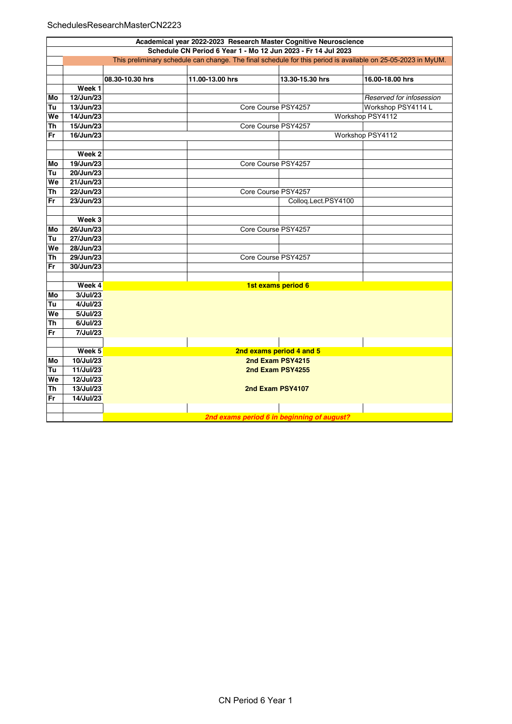## SchedulesResearchMasterCN2223

|           | Academical year 2022-2023 Research Master Cognitive Neuroscience                                             |                 |                     |                                            |                          |  |  |  |  |
|-----------|--------------------------------------------------------------------------------------------------------------|-----------------|---------------------|--------------------------------------------|--------------------------|--|--|--|--|
|           | Schedule CN Period 6 Year 1 - Mo 12 Jun 2023 - Fr 14 Jul 2023                                                |                 |                     |                                            |                          |  |  |  |  |
|           | This preliminary schedule can change. The final schedule for this period is available on 25-05-2023 in MyUM. |                 |                     |                                            |                          |  |  |  |  |
|           |                                                                                                              |                 |                     |                                            |                          |  |  |  |  |
|           |                                                                                                              | 08.30-10.30 hrs | 11.00-13.00 hrs     | 13.30-15.30 hrs                            | 16.00-18.00 hrs          |  |  |  |  |
|           | Week 1                                                                                                       |                 |                     |                                            |                          |  |  |  |  |
| Mo        | $12$ /Jun/23                                                                                                 |                 |                     |                                            | Reserved for infosession |  |  |  |  |
| Tu        | 13/Jun/23                                                                                                    |                 | Core Course PSY4257 |                                            | Workshop PSY4114 L       |  |  |  |  |
| We        | 14/Jun/23                                                                                                    |                 |                     |                                            | Workshop PSY4112         |  |  |  |  |
| Th        | 15/Jun/23                                                                                                    |                 | Core Course PSY4257 |                                            |                          |  |  |  |  |
| Fr        | 16/Jun/23                                                                                                    |                 |                     |                                            | Workshop PSY4112         |  |  |  |  |
|           |                                                                                                              |                 |                     |                                            |                          |  |  |  |  |
|           | Week 2                                                                                                       |                 |                     |                                            |                          |  |  |  |  |
| Mo        | 19/Jun/23                                                                                                    |                 | Core Course PSY4257 |                                            |                          |  |  |  |  |
| Tu        | 20/Jun/23                                                                                                    |                 |                     |                                            |                          |  |  |  |  |
| We        | 21/Jun/23                                                                                                    |                 |                     |                                            |                          |  |  |  |  |
| <b>Th</b> | 22/Jun/23<br>Core Course PSY4257                                                                             |                 |                     |                                            |                          |  |  |  |  |
| Fr        | 23/Jun/23                                                                                                    |                 |                     | Colloq.Lect.PSY4100                        |                          |  |  |  |  |
|           |                                                                                                              |                 |                     |                                            |                          |  |  |  |  |
|           | Week 3                                                                                                       |                 |                     |                                            |                          |  |  |  |  |
| Mo        | 26/Jun/23                                                                                                    |                 | Core Course PSY4257 |                                            |                          |  |  |  |  |
| Tu        | 27/Jun/23                                                                                                    |                 |                     |                                            |                          |  |  |  |  |
| We        | 28/Jun/23                                                                                                    |                 |                     |                                            |                          |  |  |  |  |
| Th        | 29/Jun/23                                                                                                    |                 | Core Course PSY4257 |                                            |                          |  |  |  |  |
| Fr        | 30/Jun/23                                                                                                    |                 |                     |                                            |                          |  |  |  |  |
|           |                                                                                                              |                 |                     |                                            |                          |  |  |  |  |
|           | Week 4                                                                                                       |                 |                     | 1st exams period 6                         |                          |  |  |  |  |
| Mo        | 3/Jul/23                                                                                                     |                 |                     |                                            |                          |  |  |  |  |
| Tu        | 4/Jul/23                                                                                                     |                 |                     |                                            |                          |  |  |  |  |
| We        | 5/Jul/23                                                                                                     |                 |                     |                                            |                          |  |  |  |  |
| <b>Th</b> | 6/Jul/23                                                                                                     |                 |                     |                                            |                          |  |  |  |  |
| Fr        | 7/Jul/23                                                                                                     |                 |                     |                                            |                          |  |  |  |  |
|           |                                                                                                              |                 |                     |                                            |                          |  |  |  |  |
|           | Week 5<br>2nd exams period 4 and 5                                                                           |                 |                     |                                            |                          |  |  |  |  |
| Mo        | 10/Jul/23                                                                                                    |                 |                     | 2nd Exam PSY4215                           |                          |  |  |  |  |
| Tu        | 11/Jul/23                                                                                                    |                 | 2nd Exam PSY4255    |                                            |                          |  |  |  |  |
| We        | 12/Jul/23                                                                                                    |                 |                     |                                            |                          |  |  |  |  |
| <b>Th</b> | 13/Jul/23                                                                                                    |                 | 2nd Exam PSY4107    |                                            |                          |  |  |  |  |
| Fr        | 14/Jul/23                                                                                                    |                 |                     |                                            |                          |  |  |  |  |
|           |                                                                                                              |                 |                     |                                            |                          |  |  |  |  |
|           |                                                                                                              |                 |                     | 2nd exams period 6 in beginning of august? |                          |  |  |  |  |